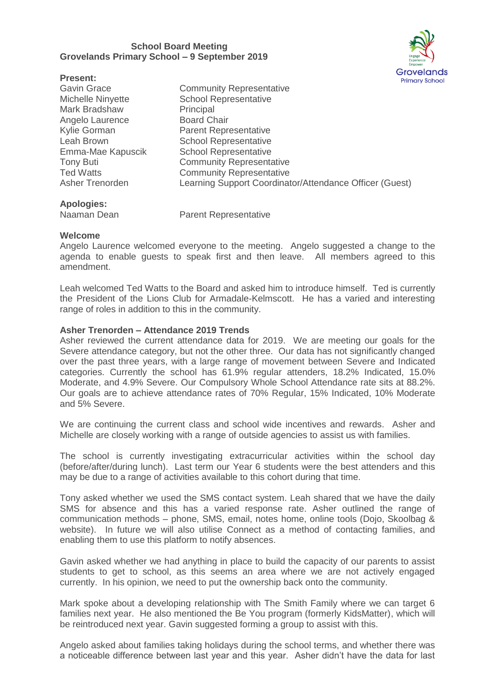## **School Board Meeting Grovelands Primary School – 9 September 2019**



| <b>Present:</b>    | - - -<br>Prim                                           |
|--------------------|---------------------------------------------------------|
| <b>Gavin Grace</b> | <b>Community Representative</b>                         |
| Michelle Ninyette  | <b>School Representative</b>                            |
| Mark Bradshaw      | Principal                                               |
| Angelo Laurence    | <b>Board Chair</b>                                      |
| Kylie Gorman       | <b>Parent Representative</b>                            |
| Leah Brown         | <b>School Representative</b>                            |
| Emma-Mae Kapuscik  | <b>School Representative</b>                            |
| <b>Tony Buti</b>   | <b>Community Representative</b>                         |
| <b>Ted Watts</b>   | <b>Community Representative</b>                         |
| Asher Trenorden    | Learning Support Coordinator/Attendance Officer (Guest) |
| Anologiacu         |                                                         |

**Apologies:**

Naaman Dean Parent Representative

# **Welcome**

Angelo Laurence welcomed everyone to the meeting. Angelo suggested a change to the agenda to enable guests to speak first and then leave. All members agreed to this amendment.

Leah welcomed Ted Watts to the Board and asked him to introduce himself. Ted is currently the President of the Lions Club for Armadale-Kelmscott. He has a varied and interesting range of roles in addition to this in the community.

# **Asher Trenorden – Attendance 2019 Trends**

Asher reviewed the current attendance data for 2019. We are meeting our goals for the Severe attendance category, but not the other three. Our data has not significantly changed over the past three years, with a large range of movement between Severe and Indicated categories. Currently the school has 61.9% regular attenders, 18.2% Indicated, 15.0% Moderate, and 4.9% Severe. Our Compulsory Whole School Attendance rate sits at 88.2%. Our goals are to achieve attendance rates of 70% Regular, 15% Indicated, 10% Moderate and 5% Severe.

We are continuing the current class and school wide incentives and rewards. Asher and Michelle are closely working with a range of outside agencies to assist us with families.

The school is currently investigating extracurricular activities within the school day (before/after/during lunch). Last term our Year 6 students were the best attenders and this may be due to a range of activities available to this cohort during that time.

Tony asked whether we used the SMS contact system. Leah shared that we have the daily SMS for absence and this has a varied response rate. Asher outlined the range of communication methods – phone, SMS, email, notes home, online tools (Dojo, Skoolbag & website). In future we will also utilise Connect as a method of contacting families, and enabling them to use this platform to notify absences.

Gavin asked whether we had anything in place to build the capacity of our parents to assist students to get to school, as this seems an area where we are not actively engaged currently. In his opinion, we need to put the ownership back onto the community.

Mark spoke about a developing relationship with The Smith Family where we can target 6 families next year. He also mentioned the Be You program (formerly KidsMatter), which will be reintroduced next year. Gavin suggested forming a group to assist with this.

Angelo asked about families taking holidays during the school terms, and whether there was a noticeable difference between last year and this year. Asher didn't have the data for last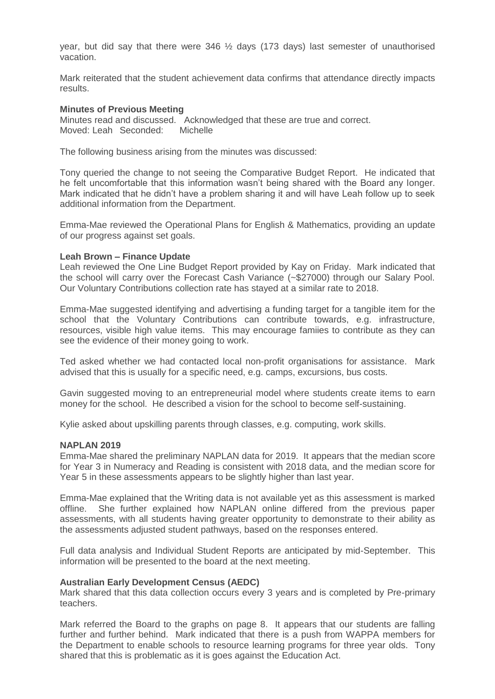year, but did say that there were  $346\frac{1}{2}$  days (173 days) last semester of unauthorised vacation.

Mark reiterated that the student achievement data confirms that attendance directly impacts results.

## **Minutes of Previous Meeting**

Minutes read and discussed. Acknowledged that these are true and correct. Moved: Leah Seconded: Michelle

The following business arising from the minutes was discussed:

Tony queried the change to not seeing the Comparative Budget Report. He indicated that he felt uncomfortable that this information wasn't being shared with the Board any longer. Mark indicated that he didn't have a problem sharing it and will have Leah follow up to seek additional information from the Department.

Emma-Mae reviewed the Operational Plans for English & Mathematics, providing an update of our progress against set goals.

## **Leah Brown – Finance Update**

Leah reviewed the One Line Budget Report provided by Kay on Friday. Mark indicated that the school will carry over the Forecast Cash Variance (~\$27000) through our Salary Pool. Our Voluntary Contributions collection rate has stayed at a similar rate to 2018.

Emma-Mae suggested identifying and advertising a funding target for a tangible item for the school that the Voluntary Contributions can contribute towards, e.g. infrastructure, resources, visible high value items. This may encourage famiies to contribute as they can see the evidence of their money going to work.

Ted asked whether we had contacted local non-profit organisations for assistance. Mark advised that this is usually for a specific need, e.g. camps, excursions, bus costs.

Gavin suggested moving to an entrepreneurial model where students create items to earn money for the school. He described a vision for the school to become self-sustaining.

Kylie asked about upskilling parents through classes, e.g. computing, work skills.

## **NAPLAN 2019**

Emma-Mae shared the preliminary NAPLAN data for 2019. It appears that the median score for Year 3 in Numeracy and Reading is consistent with 2018 data, and the median score for Year 5 in these assessments appears to be slightly higher than last year.

Emma-Mae explained that the Writing data is not available yet as this assessment is marked offline. She further explained how NAPLAN online differed from the previous paper assessments, with all students having greater opportunity to demonstrate to their ability as the assessments adjusted student pathways, based on the responses entered.

Full data analysis and Individual Student Reports are anticipated by mid-September. This information will be presented to the board at the next meeting.

#### **Australian Early Development Census (AEDC)**

Mark shared that this data collection occurs every 3 years and is completed by Pre-primary teachers.

Mark referred the Board to the graphs on page 8. It appears that our students are falling further and further behind. Mark indicated that there is a push from WAPPA members for the Department to enable schools to resource learning programs for three year olds. Tony shared that this is problematic as it is goes against the Education Act.